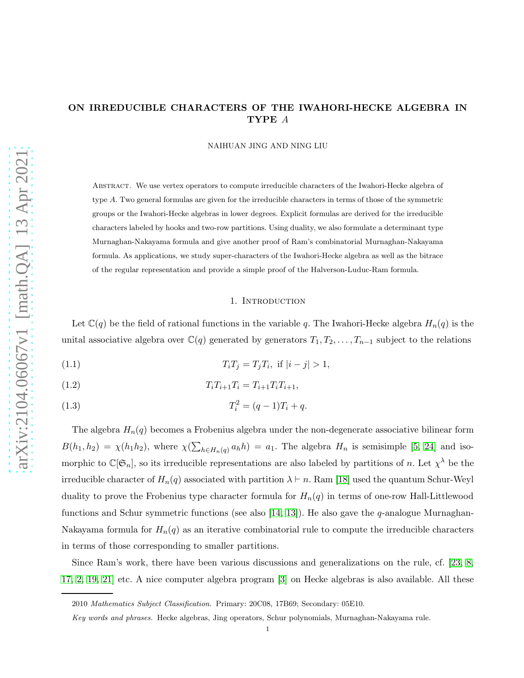## ON IRREDUCIBLE CHARACTERS OF THE IWAHORI-HECKE ALGEBRA IN TYPE A

NAIHUAN JING AND NING LIU

Abstract. We use vertex operators to compute irreducible characters of the Iwahori-Hecke algebra of type A. Two general formulas are given for the irreducible characters in terms of those of the symmetric groups or the Iwahori-Hecke algebras in lower degrees. Explicit formulas are derived for the irreducible characters labeled by hooks and two-row partitions. Using duality, we also formulate a determinant type Murnaghan-Nakayama formula and give another proof of Ram's combinatorial Murnaghan-Nakayama formula. As applications, we study super-characters of the Iwahori-Hecke algebra as well as the bitrace of the regular representation and provide a simple proof of the Halverson-Luduc-Ram formula.

#### 1. INTRODUCTION

Let  $\mathbb{C}(q)$  be the field of rational functions in the variable q. The Iwahori-Hecke algebra  $H_n(q)$  is the unital associative algebra over  $\mathbb{C}(q)$  generated by generators  $T_1, T_2, \ldots, T_{n-1}$  subject to the relations

<span id="page-0-0"></span>(1.1) 
$$
T_i T_j = T_j T_i, \text{ if } |i - j| > 1,
$$

(1.2) 
$$
T_i T_{i+1} T_i = T_{i+1} T_i T_{i+1},
$$

<span id="page-0-1"></span>(1.3) 
$$
T_i^2 = (q-1)T_i + q.
$$

The algebra  $H_n(q)$  becomes a Frobenius algebra under the non-degenerate associative bilinear form  $B(h_1, h_2) = \chi(h_1 h_2)$ , where  $\chi(\sum_{h \in H_n(q)} a_h h) = a_1$ . The algebra  $H_n$  is semisimple [\[5,](#page-19-0) [24\]](#page-20-0) and isomorphic to  $\mathbb{C}[\mathfrak{S}_n]$ , so its irreducible representations are also labeled by partitions of n. Let  $\chi^{\lambda}$  be the irreducible character of  $H_n(q)$  associated with partition  $\lambda \vdash n$ . Ram [\[18\]](#page-19-1) used the quantum Schur-Weyl duality to prove the Frobenius type character formula for  $H_n(q)$  in terms of one-row Hall-Littlewood functions and Schur symmetric functions (see also [\[14,](#page-19-2) [13\]](#page-19-3)). He also gave the  $q$ -analogue Murnaghan-Nakayama formula for  $H_n(q)$  as an iterative combinatorial rule to compute the irreducible characters in terms of those corresponding to smaller partitions.

Since Ram's work, there have been various discussions and generalizations on the rule, cf. [\[23,](#page-19-4) [8,](#page-19-5) [17,](#page-19-6) [2,](#page-19-7) [19,](#page-19-8) [21\]](#page-19-9) etc. A nice computer algebra program [\[3\]](#page-19-10) on Hecke algebras is also available. All these

<sup>2010</sup> *Mathematics Subject Classification.* Primary: 20C08, 17B69; Secondary: 05E10.

*Key words and phrases.* Hecke algebras, Jing operators, Schur polynomials, Murnaghan-Nakayama rule.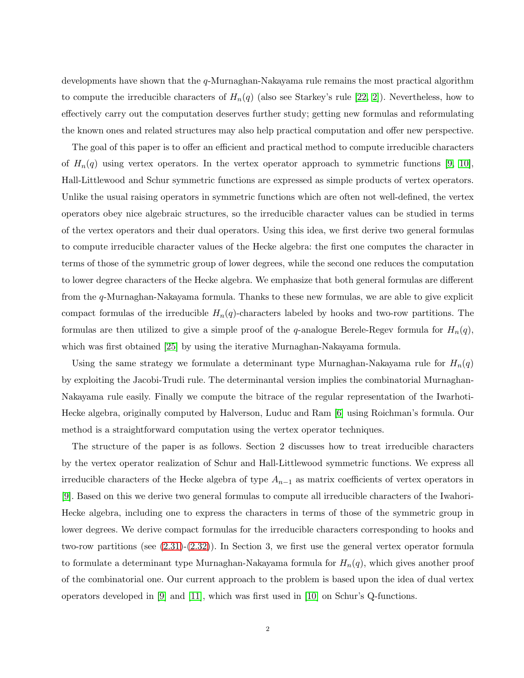developments have shown that the q-Murnaghan-Nakayama rule remains the most practical algorithm to compute the irreducible characters of  $H_n(q)$  (also see Starkey's rule [\[22,](#page-19-11) [2\]](#page-19-7)). Nevertheless, how to effectively carry out the computation deserves further study; getting new formulas and reformulating the known ones and related structures may also help practical computation and offer new perspective.

The goal of this paper is to offer an efficient and practical method to compute irreducible characters of  $H_n(q)$  using vertex operators. In the vertex operator approach to symmetric functions [\[9,](#page-19-12) [10\]](#page-19-13), Hall-Littlewood and Schur symmetric functions are expressed as simple products of vertex operators. Unlike the usual raising operators in symmetric functions which are often not well-defined, the vertex operators obey nice algebraic structures, so the irreducible character values can be studied in terms of the vertex operators and their dual operators. Using this idea, we first derive two general formulas to compute irreducible character values of the Hecke algebra: the first one computes the character in terms of those of the symmetric group of lower degrees, while the second one reduces the computation to lower degree characters of the Hecke algebra. We emphasize that both general formulas are different from the q-Murnaghan-Nakayama formula. Thanks to these new formulas, we are able to give explicit compact formulas of the irreducible  $H_n(q)$ -characters labeled by hooks and two-row partitions. The formulas are then utilized to give a simple proof of the q-analogue Berele-Regev formula for  $H_n(q)$ , which was first obtained [\[25\]](#page-20-1) by using the iterative Murnaghan-Nakayama formula.

Using the same strategy we formulate a determinant type Murnaghan-Nakayama rule for  $H_n(q)$ by exploiting the Jacobi-Trudi rule. The determinantal version implies the combinatorial Murnaghan-Nakayama rule easily. Finally we compute the bitrace of the regular representation of the Iwarhoti-Hecke algebra, originally computed by Halverson, Luduc and Ram [\[6\]](#page-19-14) using Roichman's formula. Our method is a straightforward computation using the vertex operator techniques.

The structure of the paper is as follows. Section 2 discusses how to treat irreducible characters by the vertex operator realization of Schur and Hall-Littlewood symmetric functions. We express all irreducible characters of the Hecke algebra of type  $A_{n-1}$  as matrix coefficients of vertex operators in [\[9\]](#page-19-12). Based on this we derive two general formulas to compute all irreducible characters of the Iwahori-Hecke algebra, including one to express the characters in terms of those of the symmetric group in lower degrees. We derive compact formulas for the irreducible characters corresponding to hooks and two-row partitions (see [\(2.31\)](#page-7-0)-[\(2.32\)](#page-8-0)). In Section 3, we first use the general vertex operator formula to formulate a determinant type Murnaghan-Nakayama formula for  $H_n(q)$ , which gives another proof of the combinatorial one. Our current approach to the problem is based upon the idea of dual vertex operators developed in [\[9\]](#page-19-12) and [\[11\]](#page-19-15), which was first used in [\[10\]](#page-19-13) on Schur's Q-functions.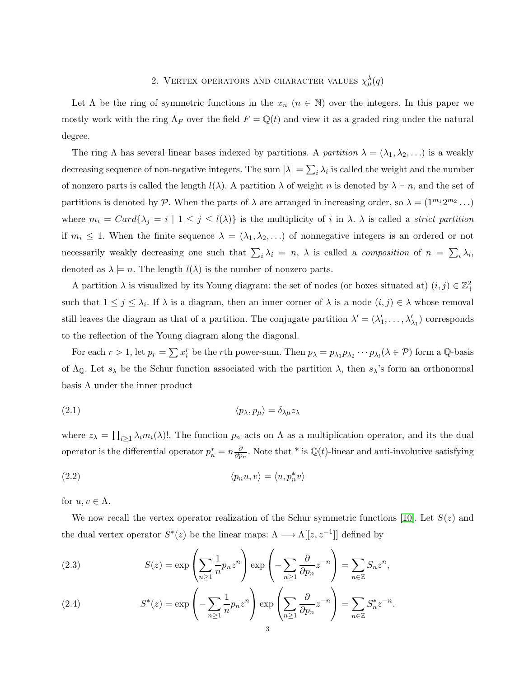# 2. VERTEX OPERATORS AND CHARACTER VALUES  $\chi^{\lambda}_{\mu}(q)$

Let  $\Lambda$  be the ring of symmetric functions in the  $x_n$   $(n \in \mathbb{N})$  over the integers. In this paper we mostly work with the ring  $\Lambda_F$  over the field  $F = \mathbb{Q}(t)$  and view it as a graded ring under the natural degree.

The ring  $\Lambda$  has several linear bases indexed by partitions. A partition  $\lambda = (\lambda_1, \lambda_2, \ldots)$  is a weakly decreasing sequence of non-negative integers. The sum  $|\lambda| = \sum_i \lambda_i$  is called the weight and the number of nonzero parts is called the length  $l(\lambda)$ . A partition  $\lambda$  of weight n is denoted by  $\lambda \vdash n$ , and the set of partitions is denoted by P. When the parts of  $\lambda$  are arranged in increasing order, so  $\lambda = (1^{m_1} 2^{m_2} \dots)$ where  $m_i = Card\{\lambda_j = i \mid 1 \leq j \leq l(\lambda)\}\$ is the multiplicity of i in  $\lambda$ .  $\lambda$  is called a *strict partition* if  $m_i \leq 1$ . When the finite sequence  $\lambda = (\lambda_1, \lambda_2, \ldots)$  of nonnegative integers is an ordered or not necessarily weakly decreasing one such that  $\sum_i \lambda_i = n$ ,  $\lambda$  is called a *composition* of  $n = \sum_i \lambda_i$ , denoted as  $\lambda \models n$ . The length  $l(\lambda)$  is the number of nonzero parts.

A partition  $\lambda$  is visualized by its Young diagram: the set of nodes (or boxes situated at)  $(i, j) \in \mathbb{Z}_+^2$ such that  $1 \leq j \leq \lambda_i$ . If  $\lambda$  is a diagram, then an inner corner of  $\lambda$  is a node  $(i, j) \in \lambda$  whose removal still leaves the diagram as that of a partition. The conjugate partition  $\lambda' = (\lambda'_1, \dots, \lambda'_{\lambda_1})$  corresponds to the reflection of the Young diagram along the diagonal.

For each  $r > 1$ , let  $p_r = \sum x_i^r$  be the rth power-sum. Then  $p_\lambda = p_{\lambda_1} p_{\lambda_2} \cdots p_{\lambda_l} (\lambda \in \mathcal{P})$  form a Q-basis of  $\Lambda_{\mathbb{Q}}$ . Let  $s_{\lambda}$  be the Schur function associated with the partition  $\lambda$ , then  $s_{\lambda}$ 's form an orthonormal basis  $\Lambda$  under the inner product

<span id="page-2-0"></span>
$$
\langle p_{\lambda}, p_{\mu} \rangle = \delta_{\lambda \mu} z_{\lambda}
$$

where  $z_{\lambda} = \prod_{i \geq 1} \lambda_i m_i(\lambda)!$ . The function  $p_n$  acts on  $\Lambda$  as a multiplication operator, and its the dual operator is the differential operator  $p_n^* = n \frac{\partial}{\partial p}$  $\frac{\partial}{\partial p_n}$ . Note that \* is Q(*t*)-linear and anti-involutive satisfying

(2.2) 
$$
\langle p_n u, v \rangle = \langle u, p_n^* v \rangle
$$

for  $u, v \in \Lambda$ .

We now recall the vertex operator realization of the Schur symmetric functions [\[10\]](#page-19-13). Let  $S(z)$  and the dual vertex operator  $S^*(z)$  be the linear maps:  $\Lambda \longrightarrow \Lambda[[z, z^{-1}]]$  defined by

(2.3) 
$$
S(z) = \exp\left(\sum_{n\geq 1} \frac{1}{n} p_n z^n\right) \exp\left(-\sum_{n\geq 1} \frac{\partial}{\partial p_n} z^{-n}\right) = \sum_{n\in \mathbb{Z}} S_n z^n,
$$

<span id="page-2-1"></span>(2.4) 
$$
S^*(z) = \exp\left(-\sum_{n\geq 1} \frac{1}{n} p_n z^n\right) \exp\left(\sum_{n\geq 1} \frac{\partial}{\partial p_n} z^{-n}\right) = \sum_{n\in \mathbb{Z}} S_n^* z^{-n}.
$$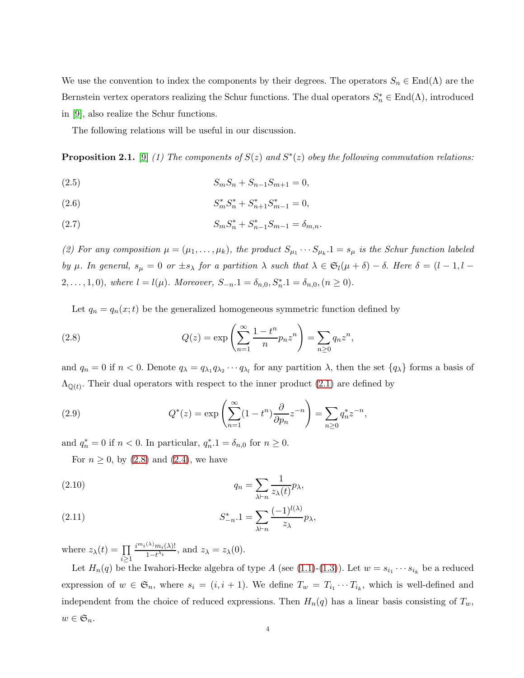We use the convention to index the components by their degrees. The operators  $S_n \in \text{End}(\Lambda)$  are the Bernstein vertex operators realizing the Schur functions. The dual operators  $S_n^* \in \text{End}(\Lambda)$ , introduced in [\[9\]](#page-19-12), also realize the Schur functions.

The following relations will be useful in our discussion.

**Proposition 2.1.** [\[9\]](#page-19-12) (1) The components of  $S(z)$  and  $S^*(z)$  obey the following commutation relations:

(2.5) 
$$
S_m S_n + S_{n-1} S_{m+1} = 0,
$$

(2.6) 
$$
S_m^* S_n^* + S_{n+1}^* S_{m-1}^* = 0,
$$

(2.7) 
$$
S_m S_n^* + S_{n-1}^* S_{m-1} = \delta_{m,n}.
$$

(2) For any composition  $\mu = (\mu_1, \dots, \mu_k)$ , the product  $S_{\mu_1} \cdots S_{\mu_k} \cdot 1 = s_{\mu}$  is the Schur function labeled by  $\mu$ . In general,  $s_{\mu} = 0$  or  $\pm s_{\lambda}$  for a partition  $\lambda$  such that  $\lambda \in \mathfrak{S}_l(\mu + \delta) - \delta$ . Here  $\delta = (l - 1, l - 1)$ 2,..., 1,0), where  $l = l(\mu)$ . Moreover,  $S_{-n}.1 = \delta_{n,0}, S_n^* . 1 = \delta_{n,0}, (n \ge 0)$ .

Let  $q_n = q_n(x; t)$  be the generalized homogeneous symmetric function defined by

<span id="page-3-0"></span>(2.8) 
$$
Q(z) = \exp\left(\sum_{n=1}^{\infty} \frac{1-t^n}{n} p_n z^n\right) = \sum_{n\geq 0} q_n z^n,
$$

and  $q_n = 0$  if  $n < 0$ . Denote  $q_\lambda = q_{\lambda_1} q_{\lambda_2} \cdots q_{\lambda_l}$  for any partition  $\lambda$ , then the set  $\{q_\lambda\}$  forms a basis of  $\Lambda_{\mathbb{Q}(t)}$ . Their dual operators with respect to the inner product  $(2.1)$  are defined by

<span id="page-3-1"></span>(2.9) 
$$
Q^*(z) = \exp\left(\sum_{n=1}^{\infty} (1-t^n) \frac{\partial}{\partial p_n} z^{-n}\right) = \sum_{n\geq 0} q_n^* z^{-n},
$$

and  $q_n^* = 0$  if  $n < 0$ . In particular,  $q_n^* \cdot 1 = \delta_{n,0}$  for  $n \ge 0$ .

For  $n \geq 0$ , by  $(2.8)$  and  $(2.4)$ , we have

(2.10) 
$$
q_n = \sum_{\lambda \vdash n} \frac{1}{z_\lambda(t)} p_\lambda,
$$

(2.11) 
$$
S_{-n}^* \cdot 1 = \sum_{\lambda \vdash n} \frac{(-1)^{l(\lambda)}}{z_{\lambda}} p_{\lambda},
$$

where  $z_{\lambda}(t) = \prod$ i≥1  $i^{m_i(\lambda)}m_i(\lambda)!$  $\frac{\sum_{i=1}^{n} \binom{n}{i}}{1-t^{\lambda_i}}$ , and  $z_{\lambda} = z_{\lambda}(0)$ .

Let  $H_n(q)$  be the Iwahori-Hecke algebra of type A (see [\(1.1\)](#page-0-0)-[\(1.3\)](#page-0-1)). Let  $w = s_{i_1} \cdots s_{i_k}$  be a reduced expression of  $w \in \mathfrak{S}_n$ , where  $s_i = (i, i + 1)$ . We define  $T_w = T_{i_1} \cdots T_{i_k}$ , which is well-defined and independent from the choice of reduced expressions. Then  $H_n(q)$  has a linear basis consisting of  $T_w$ ,  $w \in \mathfrak{S}_n$ .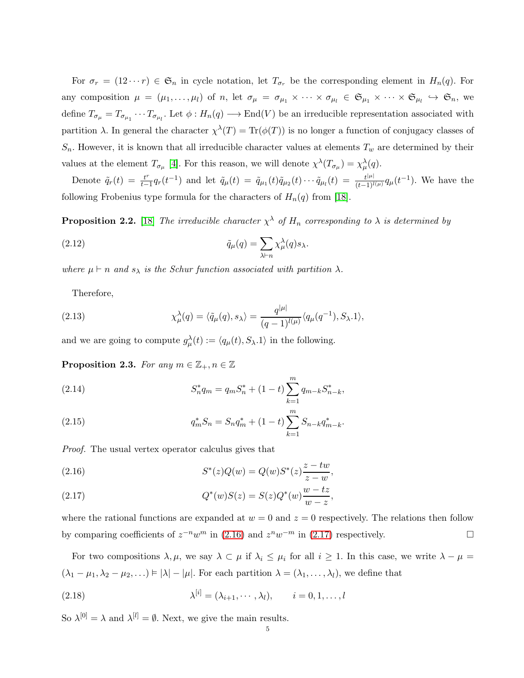For  $\sigma_r = (12 \cdots r) \in \mathfrak{S}_n$  in cycle notation, let  $T_{\sigma_r}$  be the corresponding element in  $H_n(q)$ . For any composition  $\mu = (\mu_1, \ldots, \mu_l)$  of n, let  $\sigma_{\mu} = \sigma_{\mu_1} \times \cdots \times \sigma_{\mu_l} \in \mathfrak{S}_{\mu_1} \times \cdots \times \mathfrak{S}_{\mu_l} \hookrightarrow \mathfrak{S}_n$ , we define  $T_{\sigma_\mu} = T_{\sigma_{\mu_1}} \cdots T_{\sigma_{\mu_l}}$ . Let  $\phi : H_n(q) \longrightarrow \text{End}(V)$  be an irreducible representation associated with partition  $\lambda$ . In general the character  $\chi^{\lambda}(T) = \text{Tr}(\phi(T))$  is no longer a function of conjugacy classes of  $S_n$ . However, it is known that all irreducible character values at elements  $T_w$  are determined by their values at the element  $T_{\sigma_\mu}$  [\[4\]](#page-19-16). For this reason, we will denote  $\chi^{\lambda}(T_{\sigma_\mu}) = \chi^{\lambda}_{\mu}(q)$ .

Denote  $\tilde{q}_r(t) = \frac{t^r}{t-1}$  $\frac{t^{r}}{t-1}q_r(t^{-1})$  and let  $\tilde{q}_{\mu}(t) = \tilde{q}_{\mu_1}(t)\tilde{q}_{\mu_2}(t)\cdots\tilde{q}_{\mu_l}(t) = \frac{t^{|\mu|}}{(t-1)^{l(\mu)}}q_{\mu}(t^{-1})$ . We have the following Frobenius type formula for the characters of  $H_n(q)$  from [\[18\]](#page-19-1).

**Proposition 2.2.** [\[18\]](#page-19-1) The irreducible character  $\chi^{\lambda}$  of  $H_n$  corresponding to  $\lambda$  is determined by

(2.12) 
$$
\tilde{q}_{\mu}(q) = \sum_{\lambda \vdash n} \chi^{\lambda}_{\mu}(q) s_{\lambda}.
$$

where  $\mu \vdash n$  and  $s_{\lambda}$  is the Schur function associated with partition  $\lambda$ .

Therefore,

(2.13) 
$$
\chi^{\lambda}_{\mu}(q) = \langle \tilde{q}_{\mu}(q), s_{\lambda} \rangle = \frac{q^{|\mu|}}{(q-1)^{l(\mu)}} \langle q_{\mu}(q^{-1}), S_{\lambda}.1 \rangle,
$$

and we are going to compute  $g_{\mu}^{\lambda}(t) := \langle q_{\mu}(t), S_{\lambda} \cdot 1 \rangle$  in the following.

<span id="page-4-2"></span>**Proposition 2.3.** For any  $m \in \mathbb{Z}_+, n \in \mathbb{Z}$ 

(2.14) 
$$
S_n^* q_m = q_m S_n^* + (1-t) \sum_{k=1}^m q_{m-k} S_{n-k}^*,
$$

(2.15) 
$$
q_m^* S_n = S_n q_m^* + (1 - t) \sum_{k=1}^m S_{n-k} q_{m-k}^*.
$$

Proof. The usual vertex operator calculus gives that

<span id="page-4-0"></span>(2.16) 
$$
S^*(z)Q(w) = Q(w)S^*(z)\frac{z - tw}{z - w},
$$

<span id="page-4-1"></span>(2.17) 
$$
Q^*(w)S(z) = S(z)Q^*(w)\frac{w-tz}{w-z},
$$

where the rational functions are expanded at  $w = 0$  and  $z = 0$  respectively. The relations then follow by comparing coefficients of  $z^{-n}w^m$  in [\(2.16\)](#page-4-0) and  $z^n w^{-m}$  in [\(2.17\)](#page-4-1) respectively.

For two compositions  $\lambda, \mu$ , we say  $\lambda \subset \mu$  if  $\lambda_i \leq \mu_i$  for all  $i \geq 1$ . In this case, we write  $\lambda - \mu =$  $(\lambda_1 - \mu_1, \lambda_2 - \mu_2, \ldots) \models |\lambda| - |\mu|$ . For each partition  $\lambda = (\lambda_1, \ldots, \lambda_l)$ , we define that

(2.18) 
$$
\lambda^{[i]} = (\lambda_{i+1}, \cdots, \lambda_l), \qquad i = 0, 1, \ldots, l
$$

So  $\lambda^{[0]} = \lambda$  and  $\lambda^{[l]} = \emptyset$ . Next, we give the main results.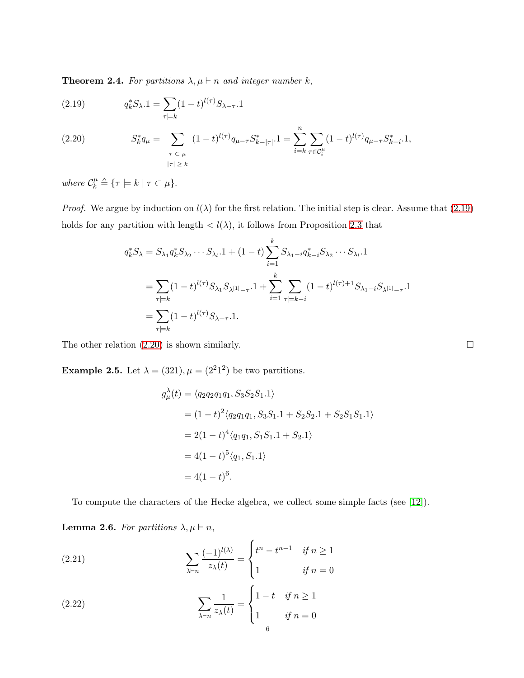<span id="page-5-2"></span>**Theorem 2.4.** For partitions  $\lambda, \mu \vdash n$  and integer number k,

<span id="page-5-0"></span>(2.19) 
$$
q_k^* S_{\lambda} . 1 = \sum_{\tau \models k} (1 - t)^{l(\tau)} S_{\lambda - \tau} . 1
$$

<span id="page-5-1"></span>(2.20) 
$$
S_k^* q_\mu = \sum_{\substack{\tau \subset \mu \\ |\tau| \geq k}} (1-t)^{l(\tau)} q_{\mu-\tau} S_{k-|\tau|}^* .1 = \sum_{i=k}^n \sum_{\tau \in C_i^\mu} (1-t)^{l(\tau)} q_{\mu-\tau} S_{k-i}^* .1,
$$

where  $\mathcal{C}_k^{\mu} \triangleq \{ \tau \models k \mid \tau \subset \mu \}.$ 

*Proof.* We argue by induction on  $l(\lambda)$  for the first relation. The initial step is clear. Assume that [\(2.19\)](#page-5-0) holds for any partition with length  $\langle l(\lambda),$  it follows from Proposition [2.3](#page-4-2) that

$$
q_k^* S_\lambda = S_{\lambda_1} q_k^* S_{\lambda_2} \cdots S_{\lambda_l} . 1 + (1 - t) \sum_{i=1}^k S_{\lambda_1 - i} q_{k-i}^* S_{\lambda_2} \cdots S_{\lambda_l} . 1
$$
  
= 
$$
\sum_{\tau \models k} (1 - t)^{l(\tau)} S_{\lambda_1} S_{\lambda^{[1]} - \tau} . 1 + \sum_{i=1}^k \sum_{\tau \models k - i} (1 - t)^{l(\tau) + 1} S_{\lambda_1 - i} S_{\lambda^{[1]} - \tau} . 1
$$
  
= 
$$
\sum_{\tau \models k} (1 - t)^{l(\tau)} S_{\lambda - \tau} . 1.
$$

The other relation  $(2.20)$  is shown similarly.

**Example 2.5.** Let  $\lambda = (321), \mu = (2^21^2)$  be two partitions.

$$
g_{\mu}^{\lambda}(t) = \langle q_2 q_2 q_1 q_1, S_3 S_2 S_1.1 \rangle
$$
  
=  $(1 - t)^2 \langle q_2 q_1 q_1, S_3 S_1.1 + S_2 S_2.1 + S_2 S_1 S_1.1 \rangle$   
=  $2(1 - t)^4 \langle q_1 q_1, S_1 S_1.1 + S_2.1 \rangle$   
=  $4(1 - t)^5 \langle q_1, S_1.1 \rangle$   
=  $4(1 - t)^6$ .

To compute the characters of the Hecke algebra, we collect some simple facts (see [\[12\]](#page-19-17)).

**Lemma 2.6.** For partitions  $\lambda, \mu \vdash n$ ,

<span id="page-5-3"></span>(2.21) 
$$
\sum_{\lambda \vdash n} \frac{(-1)^{l(\lambda)}}{z_{\lambda}(t)} = \begin{cases} t^n - t^{n-1} & \text{if } n \ge 1 \\ 1 & \text{if } n = 0 \end{cases}
$$

<span id="page-5-4"></span>(2.22) 
$$
\sum_{\lambda \vdash n} \frac{1}{z_{\lambda}(t)} = \begin{cases} 1 - t & \text{if } n \ge 1 \\ 1 & \text{if } n = 0 \end{cases}
$$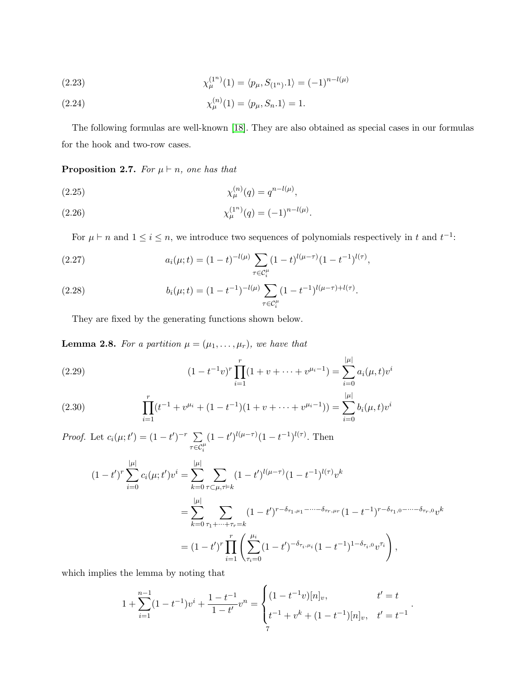(2.23) 
$$
\chi_{\mu}^{(1^n)}(1) = \langle p_{\mu}, S_{(1^n)} \cdot 1 \rangle = (-1)^{n-l(\mu)}
$$

(2.24) 
$$
\chi_{\mu}^{(n)}(1) = \langle p_{\mu}, S_n.1 \rangle = 1.
$$

The following formulas are well-known [\[18\]](#page-19-1). They are also obtained as special cases in our formulas for the hook and two-row cases.

**Proposition 2.7.** For  $\mu \vdash n$ , one has that

(2.25) 
$$
\chi_{\mu}^{(n)}(q) = q^{n-l(\mu)},
$$

(2.26) 
$$
\chi_{\mu}^{(1^n)}(q) = (-1)^{n-l(\mu)}.
$$

For  $\mu \vdash n$  and  $1 \leq i \leq n$ , we introduce two sequences of polynomials respectively in t and  $t^{-1}$ :

<span id="page-6-0"></span>(2.27) 
$$
a_i(\mu;t) = (1-t)^{-l(\mu)} \sum_{\tau \in \mathcal{C}_i^{\mu}} (1-t)^{l(\mu-\tau)} (1-t^{-1})^{l(\tau)},
$$

<span id="page-6-2"></span>(2.28) 
$$
b_i(\mu;t) = (1 - t^{-1})^{-l(\mu)} \sum_{\tau \in \mathcal{C}_i^{\mu}} (1 - t^{-1})^{l(\mu - \tau) + l(\tau)}.
$$

They are fixed by the generating functions shown below.

<span id="page-6-1"></span>**Lemma 2.8.** For a partition  $\mu = (\mu_1, \ldots, \mu_r)$ , we have that

(2.29) 
$$
(1 - t^{-1}v)^r \prod_{i=1}^r (1 + v + \dots + v^{\mu_i - 1}) = \sum_{i=0}^{|\mu|} a_i(\mu, t) v^i
$$

<span id="page-6-3"></span>(2.30) 
$$
\prod_{i=1}^{r} (t^{-1} + v^{\mu_i} + (1 - t^{-1})(1 + v + \dots + v^{\mu_i - 1})) = \sum_{i=0}^{|\mu|} b_i(\mu, t) v^i
$$

*Proof.* Let  $c_i(\mu; t') = (1 - t')^{-r} \sum$  $\tau \overline{\in} \mathcal{C}_i^\mu$  $(1-t')^{l(\mu-\tau)}(1-t^{-1})^{l(\tau)}$ . Then

$$
(1-t')^{r} \sum_{i=0}^{|\mu|} c_{i}(\mu; t')v^{i} = \sum_{k=0}^{|\mu|} \sum_{\tau \subset \mu, \tau \models k} (1-t')^{l(\mu-\tau)} (1-t^{-1})^{l(\tau)}v^{k}
$$
  

$$
= \sum_{k=0}^{|\mu|} \sum_{\tau_{1} + \dots + \tau_{r} = k} (1-t')^{r-\delta_{\tau_{1},\mu_{1}} - \dots - \delta_{\tau_{r},\mu_{r}}} (1-t^{-1})^{r-\delta_{\tau_{1},0} - \dots - \delta_{\tau_{r},0}}v^{k}
$$
  

$$
= (1-t')^{r} \prod_{i=1}^{r} \left( \sum_{\tau_{i}=0}^{\mu_{i}} (1-t')^{-\delta_{\tau_{i},\mu_{i}}} (1-t^{-1})^{1-\delta_{\tau_{i},0}}v^{\tau_{i}} \right),
$$

which implies the lemma by noting that

$$
1 + \sum_{i=1}^{n-1} (1 - t^{-1})v^{i} + \frac{1 - t^{-1}}{1 - t'}v^{n} = \begin{cases} (1 - t^{-1}v)[n]_{v}, & t' = t \\ t^{-1} + v^{k} + (1 - t^{-1})[n]_{v}, & t' = t^{-1} \end{cases}.
$$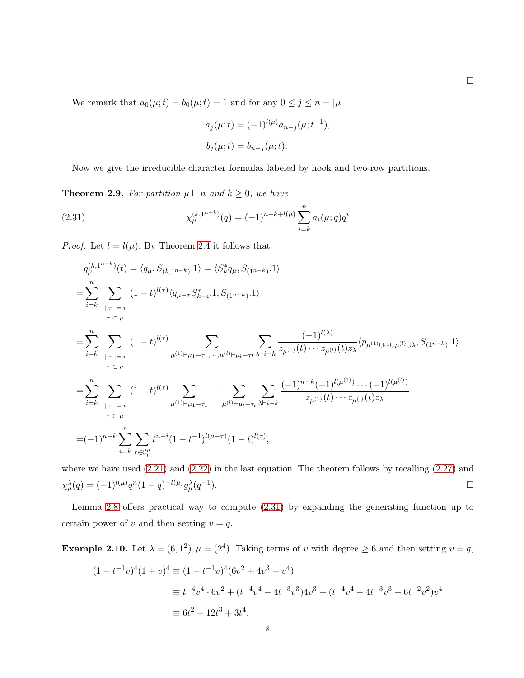We remark that  $a_0(\mu; t) = b_0(\mu; t) = 1$  and for any  $0 \le j \le n = |\mu|$ 

$$
a_j(\mu; t) = (-1)^{l(\mu)} a_{n-j}(\mu; t^{-1}),
$$
  

$$
b_j(\mu; t) = b_{n-j}(\mu; t).
$$

Now we give the irreducible character formulas labeled by hook and two-row partitions.

<span id="page-7-1"></span>**Theorem 2.9.** For partition  $\mu \vdash n$  and  $k \geq 0$ , we have

<span id="page-7-0"></span>(2.31) 
$$
\chi_{\mu}^{(k,1^{n-k})}(q) = (-1)^{n-k+l(\mu)} \sum_{i=k}^{n} a_i(\mu;q) q^i
$$

*Proof.* Let  $l = l(\mu)$ . By Theorem [2.4](#page-5-2) it follows that

$$
g_{\mu}^{(k,1^{n-k})}(t) = \langle q_{\mu}, S_{(k,1^{n-k})}.1 \rangle = \langle S_{k}^{*} q_{\mu}, S_{(1^{n-k})}.1 \rangle
$$
  
\n
$$
= \sum_{i=k}^{n} \sum_{\substack{|\tau|=i \\ \tau \subset \mu}} (1-t)^{l(\tau)} \langle q_{\mu-\tau} S_{k-i}^{*}.1, S_{(1^{n-k})}.1 \rangle
$$
  
\n
$$
= \sum_{i=k}^{n} \sum_{\substack{|\tau|=i \\ \tau \subset \mu}} (1-t)^{l(\tau)} \sum_{\mu^{(1)} \vdash \mu_{1}-\tau_{1}, \dots, \mu^{(l)} \vdash \mu_{l}-\tau_{l}} \sum_{\lambda \vdash i-k} \frac{(-1)^{l(\lambda)}}{z_{\mu^{(1)}}(t) \cdots z_{\mu^{(l)}}(t) z_{\lambda}} \langle p_{\mu^{(1)} \cup \dots \cup \mu^{(l)} \cup \lambda}, S_{(1^{n-k})}.1 \rangle
$$
  
\n
$$
= \sum_{i=k}^{n} \sum_{\substack{|\tau|=i \\ \tau \subset \mu}} (1-t)^{l(\tau)} \sum_{\mu^{(1)} \vdash \mu_{1}-\tau_{1}} \cdots \sum_{\mu^{(l)} \vdash \mu_{l}-\tau_{l}} \sum_{\lambda \vdash i-k} \frac{(-1)^{n-k}(-1)^{l(\mu^{(1)})} \cdots (-1)^{l(\mu^{(l)})}}{z_{\mu^{(1)}}(t) \cdots z_{\mu^{(l)}}(t) z_{\lambda}}
$$
  
\n
$$
= (-1)^{n-k} \sum_{i=k}^{n} \sum_{\tau \in C_{i}^{\mu}} t^{n-i} (1-t^{-1})^{l(\mu-\tau)} (1-t)^{l(\tau)},
$$

where we have used [\(2.21\)](#page-5-3) and [\(2.22\)](#page-5-4) in the last equation. The theorem follows by recalling [\(2.27\)](#page-6-0) and  $\chi^{\lambda}_{\mu}(q) = (-1)^{l(\mu)} q^n (1-q)^{-l(\mu)} g^{\lambda}_{\mu}(q^{-1})$  $\Box$ 

Lemma [2.8](#page-6-1) offers practical way to compute [\(2.31\)](#page-7-0) by expanding the generating function up to certain power of v and then setting  $v = q$ .

**Example 2.10.** Let  $\lambda = (6, 1^2), \mu = (2^4)$ . Taking terms of v with degree  $\geq 6$  and then setting  $v = q$ ,

$$
(1 - t^{-1}v)^4 (1 + v)^4 \equiv (1 - t^{-1}v)^4 (6v^2 + 4v^3 + v^4)
$$
  
\n
$$
\equiv t^{-4}v^4 \cdot 6v^2 + (t^{-4}v^4 - 4t^{-3}v^3)4v^3 + (t^{-4}v^4 - 4t^{-3}v^3 + 6t^{-2}v^2)v^4
$$
  
\n
$$
\equiv 6t^2 - 12t^3 + 3t^4.
$$

 $\Box$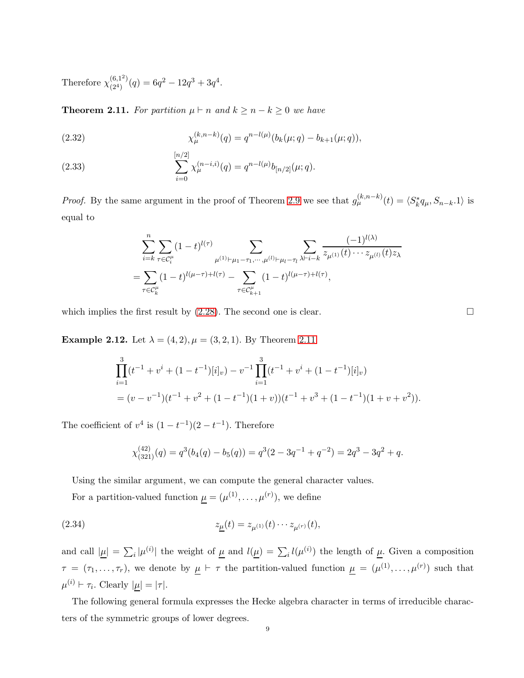Therefore  $\chi^{(6,1^2)}_{(2^4)}$  $\binom{(6,1^2)}{(2^4)}(q) = 6q^2 - 12q^3 + 3q^4.$ 

<span id="page-8-1"></span>**Theorem 2.11.** For partition  $\mu \vdash n$  and  $k \geq n - k \geq 0$  we have

<span id="page-8-0"></span>(2.32) 
$$
\chi_{\mu}^{(k,n-k)}(q) = q^{n-l(\mu)}(b_k(\mu;q) - b_{k+1}(\mu;q)),
$$

(2.33) 
$$
\sum_{i=0}^{[n/2]} \chi_{\mu}^{(n-i,i)}(q) = q^{n-l(\mu)} b_{[n/2]}(\mu;q).
$$

*Proof.* By the same argument in the proof of Theorem [2.9](#page-7-1) we see that  $g_{\mu}^{(k,n-k)}(t) = \langle S_k^* q_{\mu}, S_{n-k} \cdot 1 \rangle$  is equal to

$$
\sum_{i=k}^{n} \sum_{\tau \in C_i^{\mu}} (1-t)^{l(\tau)} \sum_{\mu^{(1)} \vdash \mu_1 - \tau_1, \cdots, \mu^{(l)} \vdash \mu_l - \tau_l} \sum_{\lambda \vdash i - k} \frac{(-1)^{l(\lambda)}}{z_{\mu^{(1)}}(t) \cdots z_{\mu^{(l)}}(t) z_{\lambda}}
$$
  
= 
$$
\sum_{\tau \in C_k^{\mu}} (1-t)^{l(\mu-\tau) + l(\tau)} - \sum_{\tau \in C_{k+1}^{\mu}} (1-t)^{l(\mu-\tau) + l(\tau)},
$$

which implies the first result by  $(2.28)$ . The second one is clear.

**Example 2.12.** Let  $\lambda = (4, 2), \mu = (3, 2, 1)$ . By Theorem [2.11](#page-8-1)

$$
\prod_{i=1}^{3} (t^{-1} + v^i + (1 - t^{-1})[i]_v) - v^{-1} \prod_{i=1}^{3} (t^{-1} + v^i + (1 - t^{-1})[i]_v)
$$
  
=  $(v - v^{-1})(t^{-1} + v^2 + (1 - t^{-1})(1 + v))(t^{-1} + v^3 + (1 - t^{-1})(1 + v + v^2)).$ 

The coefficient of  $v^4$  is  $(1-t^{-1})(2-t^{-1})$ . Therefore

$$
\chi_{(321)}^{(42)}(q) = q^3(b_4(q) - b_5(q)) = q^3(2 - 3q^{-1} + q^{-2}) = 2q^3 - 3q^2 + q.
$$

Using the similar argument, we can compute the general character values.

For a partition-valued function  $\mu = (\mu^{(1)}, \dots, \mu^{(r)})$ , we define

(2.34) 
$$
z_{\underline{\mu}}(t) = z_{\mu^{(1)}}(t) \cdots z_{\mu^{(r)}}(t),
$$

and call  $|\underline{\mu}| = \sum_i |\mu^{(i)}|$  the weight of  $\underline{\mu}$  and  $l(\underline{\mu}) = \sum_i l(\mu^{(i)})$  the length of  $\underline{\mu}$ . Given a composition  $\tau = (\tau_1, \ldots, \tau_r)$ , we denote by  $\mu \vdash \tau$  the partition-valued function  $\mu = (\mu^{(1)}, \ldots, \mu^{(r)})$  such that  $\mu^{(i)} \vdash \tau_i$ . Clearly  $|\mu| = |\tau|$ .

The following general formula expresses the Hecke algebra character in terms of irreducible characters of the symmetric groups of lower degrees.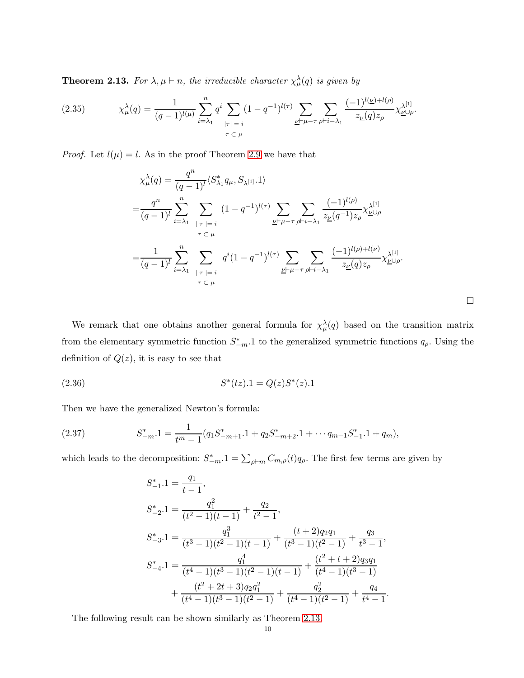<span id="page-9-0"></span>**Theorem 2.13.** For  $\lambda, \mu \vdash n$ , the irreducible character  $\chi^{\lambda}_{\mu}(q)$  is given by

$$
(2.35) \qquad \chi^{\lambda}_{\mu}(q) = \frac{1}{(q-1)^{l(\mu)}} \sum_{i=\lambda_1}^{n} q^i \sum_{|\tau|=i} (1-q^{-1})^{l(\tau)} \sum_{\underline{\nu} \vdash \mu - \tau} \sum_{\rho \vdash i - \lambda_1} \frac{(-1)^{l(\underline{\nu})+l(\rho)}}{z_{\underline{\nu}}(q)z_{\rho}} \chi^{\lambda^{[1]}}_{\underline{\nu} \cup \rho}.
$$

*Proof.* Let  $l(\mu) = l$ . As in the proof Theorem [2.9](#page-7-1) we have that

$$
\chi^{\lambda}_{\mu}(q) = \frac{q^{n}}{(q-1)^{l}} \langle S^*_{\lambda_1} q_{\mu}, S_{\lambda^{[1]}} \cdot 1 \rangle
$$
  
\n
$$
= \frac{q^{n}}{(q-1)^{l}} \sum_{i=\lambda_1}^{n} \sum_{\substack{|\tau|=i \ \tau \subset \mu}} (1-q^{-1})^{l(\tau)} \sum_{\substack{\underline{\nu} \vdash \mu-\tau \\ \tau \subset \mu}} \sum_{\substack{\underline{\nu} \vdash \mu-\tau \\ \underline{\nu} \vdash \mu-\tau \\ \underline{\nu} \vdash \mu-\tau}} \frac{(-1)^{l(\rho)}}{z_{\underline{\nu}}(q^{-1})z_{\rho}} \chi^{\lambda^{[1]}}_{\underline{\nu} \vdash \underline{\nu}}
$$
  
\n
$$
= \frac{1}{(q-1)^{l}} \sum_{i=\lambda_1}^{n} \sum_{\substack{|\tau|=i \ \tau \subset \mu}} q^{i} (1-q^{-1})^{l(\tau)} \sum_{\substack{\underline{\nu} \vdash \mu-\tau \\ \underline{\nu} \vdash \mu-\tau \\ \underline{\nu} \vdash \mu-\tau}} \sum_{\substack{\beta \vdash i-\lambda_1 \\ \tau \subset \mu}} \frac{(-1)^{l(\rho)+l(\underline{\nu})}}{z_{\underline{\nu}}(q)z_{\rho}} \chi^{\lambda^{[1]}}_{\underline{\nu} \vdash \mu}
$$

 $\Box$ 

We remark that one obtains another general formula for  $\chi^{\lambda}_{\mu}(q)$  based on the transition matrix from the elementary symmetric function  $S_{-m}^*$ . I to the generalized symmetric functions  $q_\rho$ . Using the definition of  $Q(z)$ , it is easy to see that

(2.36) 
$$
S^*(tz).1 = Q(z)S^*(z).1
$$

Then we have the generalized Newton's formula:

(2.37) 
$$
S_{-m}^* \cdot 1 = \frac{1}{t^m - 1} (q_1 S_{-m+1}^* \cdot 1 + q_2 S_{-m+2}^* \cdot 1 + \cdots + q_{m-1} S_{-1}^* \cdot 1 + q_m),
$$

which leads to the decomposition:  $S_{-m}^*$ .  $1 = \sum_{\rho \vdash m} C_{m,\rho}(t) q_\rho$ . The first few terms are given by

$$
S_{-1}^{*}.1 = \frac{q_1}{t-1},
$$
  
\n
$$
S_{-2}^{*}.1 = \frac{q_1^2}{(t^2-1)(t-1)} + \frac{q_2}{t^2-1},
$$
  
\n
$$
S_{-3}^{*}.1 = \frac{q_1^3}{(t^3-1)(t^2-1)(t-1)} + \frac{(t+2)q_2q_1}{(t^3-1)(t^2-1)} + \frac{q_3}{t^3-1},
$$
  
\n
$$
S_{-4}^{*}.1 = \frac{q_1^4}{(t^4-1)(t^3-1)(t^2-1)(t-1)} + \frac{(t^2+t+2)q_3q_1}{(t^4-1)(t^3-1)} + \frac{(t^2+2t+3)q_2q_1^2}{(t^4-1)(t^3-1)(t^2-1)} + \frac{q_2^2}{(t^4-1)(t^2-1)} + \frac{q_4}{t^4-1}.
$$

The following result can be shown similarly as Theorem [2.13.](#page-9-0)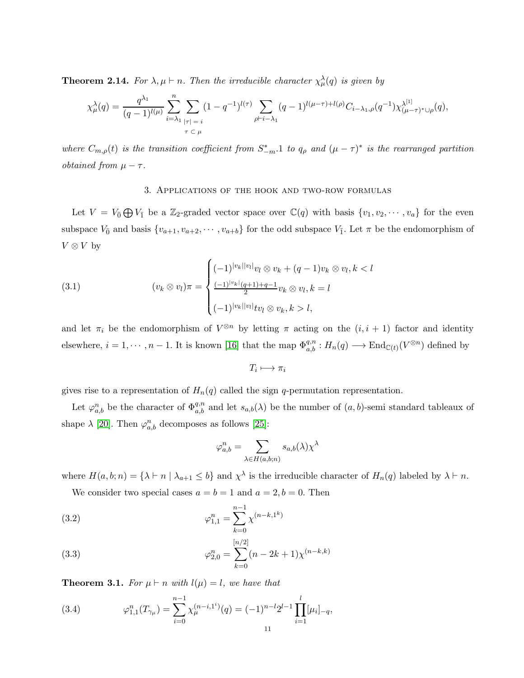**Theorem 2.14.** For  $\lambda, \mu \vdash n$ . Then the irreducible character  $\chi^{\lambda}_{\mu}(q)$  is given by

$$
\chi^\lambda_\mu(q) = \frac{q^{\lambda_1}}{(q-1)^{l(\mu)}} \sum_{i=\lambda_1}^n \sum_{|\tau|=i} (1-q^{-1})^{l(\tau)} \sum_{\rho \vdash i-\lambda_1} (q-1)^{l(\mu-\tau)+l(\rho)} C_{i-\lambda_1,\rho}(q^{-1}) \chi^{\lambda^{[1]}}_{(\mu-\tau)^* \cup \rho}(q),
$$

where  $C_{m,\rho}(t)$  is the transition coefficient from  $S_{-m}^*$ . 1 to  $q_\rho$  and  $(\mu - \tau)^*$  is the rearranged partition *obtained from*  $\mu - \tau$ .

#### 3. Applications of the hook and two-row formulas

Let  $V = V_{\overline{0}} \bigoplus V_{\overline{1}}$  be a Z<sub>2</sub>-graded vector space over  $\mathbb{C}(q)$  with basis  $\{v_1, v_2, \cdots, v_a\}$  for the even subspace  $V_0$  and basis  $\{v_{a+1}, v_{a+2}, \cdots, v_{a+b}\}$  for the odd subspace  $V_{\bar{1}}$ . Let  $\pi$  be the endomorphism of  $V \otimes V$  by

(3.1) 
$$
(v_k \otimes v_l)\pi = \begin{cases} (-1)^{|v_k||v_l|}v_l \otimes v_k + (q-1)v_k \otimes v_l, k < l \\ \frac{(-1)^{|v_k|}(q+1)+q-1}{2}v_k \otimes v_l, k = l \\ (-1)^{|v_k||v_l|}tv_l \otimes v_k, k > l, \end{cases}
$$

and let  $\pi_i$  be the endomorphism of  $V^{\otimes n}$  by letting  $\pi$  acting on the  $(i, i + 1)$  factor and identity elsewhere,  $i = 1, \dots, n-1$ . It is known [\[16\]](#page-19-18) that the map  $\Phi_{a,b}^{q,n} : H_n(q) \longrightarrow \text{End}_{\mathbb{C}(t)}(V^{\otimes n})$  defined by

$$
T_i\longmapsto \pi_i
$$

gives rise to a representation of  $H_n(q)$  called the sign q-permutation representation.

Let  $\varphi_{a,b}^n$  be the character of  $\Phi_{a,b}^{q,n}$  and let  $s_{a,b}(\lambda)$  be the number of  $(a,b)$ -semi standard tableaux of shape  $\lambda$  [\[20\]](#page-19-19). Then  $\varphi_{a,b}^n$  decomposes as follows [\[25\]](#page-20-1):

$$
\varphi_{a,b}^n = \sum_{\lambda \in H(a,b;n)} s_{a,b}(\lambda) \chi^{\lambda}
$$

where  $H(a, b; n) = \{\lambda \vdash n \mid \lambda_{a+1} \leq b\}$  and  $\chi^{\lambda}$  is the irreducible character of  $H_n(q)$  labeled by  $\lambda \vdash n$ .

We consider two special cases  $a = b = 1$  and  $a = 2, b = 0$ . Then

(3.2) 
$$
\varphi_{1,1}^n = \sum_{k=0}^{n-1} \chi^{(n-k,1^k)}
$$

(3.3) 
$$
\varphi_{2,0}^n = \sum_{k=0}^{[n/2]} (n - 2k + 1) \chi^{(n-k,k)}
$$

**Theorem 3.1.** For  $\mu \vdash n$  with  $l(\mu) = l$ , we have that

<span id="page-10-0"></span>(3.4) 
$$
\varphi_{1,1}^n(T_{\gamma_\mu}) = \sum_{i=0}^{n-1} \chi_\mu^{(n-i,1^i)}(q) = (-1)^{n-l} 2^{l-1} \prod_{i=1}^l [\mu_i]_{-q},
$$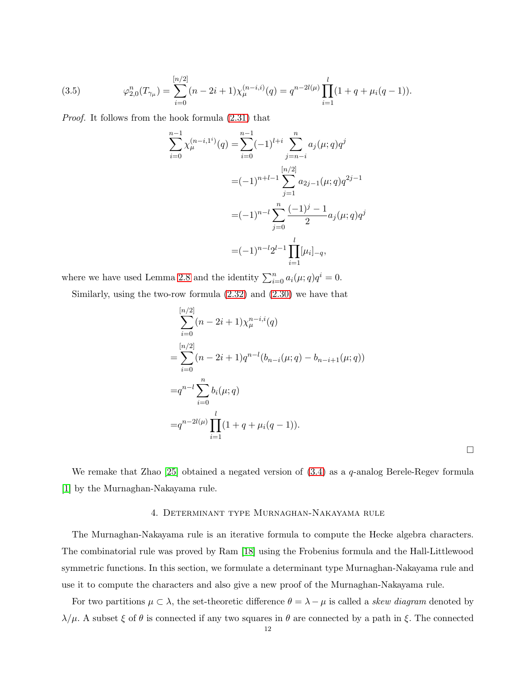(3.5) 
$$
\varphi_{2,0}^n(T_{\gamma\mu}) = \sum_{i=0}^{[n/2]} (n-2i+1) \chi_{\mu}^{(n-i,i)}(q) = q^{n-2l(\mu)} \prod_{i=1}^l (1+q+\mu_i(q-1)).
$$

Proof. It follows from the hook formula [\(2.31\)](#page-7-0) that

$$
\sum_{i=0}^{n-1} \chi_{\mu}^{(n-i,1^{i})}(q) = \sum_{i=0}^{n-1} (-1)^{l+i} \sum_{j=n-i}^{n} a_{j}(\mu;q) q^{j}
$$

$$
= (-1)^{n+l-1} \sum_{j=1}^{[n/2]} a_{2j-1}(\mu;q) q^{2j-1}
$$

$$
= (-1)^{n-l} \sum_{j=0}^{n} \frac{(-1)^{j}-1}{2} a_{j}(\mu;q) q^{j}
$$

$$
= (-1)^{n-l} 2^{l-1} \prod_{i=1}^{l} [\mu_{i}]_{-q},
$$

where we have used Lemma [2.8](#page-6-1) and the identity  $\sum_{i=0}^{n} a_i(\mu; q)q^i = 0$ .

Similarly, using the two-row formula [\(2.32\)](#page-8-0) and [\(2.30\)](#page-6-3) we have that

$$
\sum_{i=0}^{[n/2]} (n - 2i + 1) \chi_{\mu}^{n-i,i}(q)
$$
  
= 
$$
\sum_{i=0}^{[n/2]} (n - 2i + 1) q^{n-l} (b_{n-i}(\mu; q) - b_{n-i+1}(\mu; q))
$$
  
= 
$$
q^{n-l} \sum_{i=0}^{n} b_i(\mu; q)
$$
  
= 
$$
q^{n-2l(\mu)} \prod_{i=1}^{l} (1 + q + \mu_i(q - 1)).
$$

 $\Box$ 

We remake that Zhao [\[25\]](#page-20-1) obtained a negated version of  $(3.4)$  as a q-analog Berele-Regev formula [\[1\]](#page-19-20) by the Murnaghan-Nakayama rule.

### 4. Determinant type Murnaghan-Nakayama rule

The Murnaghan-Nakayama rule is an iterative formula to compute the Hecke algebra characters. The combinatorial rule was proved by Ram [\[18\]](#page-19-1) using the Frobenius formula and the Hall-Littlewood symmetric functions. In this section, we formulate a determinant type Murnaghan-Nakayama rule and use it to compute the characters and also give a new proof of the Murnaghan-Nakayama rule.

For two partitions  $\mu \subset \lambda$ , the set-theoretic difference  $\theta = \lambda - \mu$  is called a *skew diagram* denoted by  $λ/μ$ . A subset  $ξ$  of  $θ$  is connected if any two squares in  $θ$  are connected by a path in  $ξ$ . The connected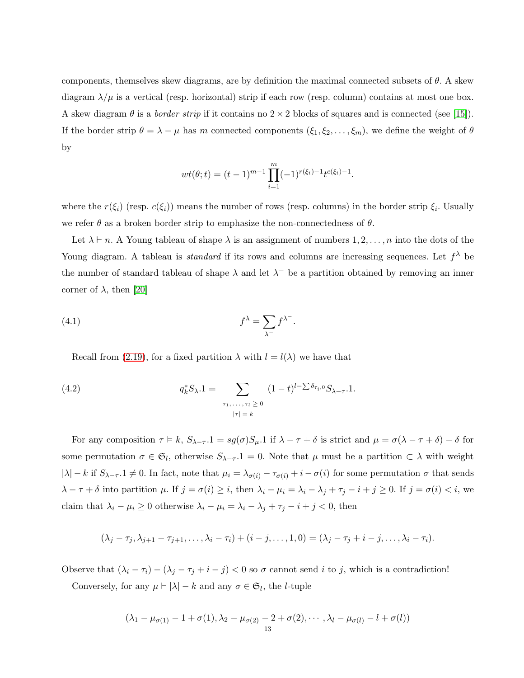components, themselves skew diagrams, are by definition the maximal connected subsets of  $\theta$ . A skew diagram  $\lambda/\mu$  is a vertical (resp. horizontal) strip if each row (resp. column) contains at most one box. A skew diagram  $\theta$  is a *border strip* if it contains no  $2 \times 2$  blocks of squares and is connected (see [\[15\]](#page-19-21)). If the border strip  $\theta = \lambda - \mu$  has m connected components  $(\xi_1, \xi_2, \dots, \xi_m)$ , we define the weight of  $\theta$ by

$$
wt(\theta; t) = (t-1)^{m-1} \prod_{i=1}^m (-1)^{r(\xi_i)-1} t^{c(\xi_i)-1}.
$$

where the  $r(\xi_i)$  (resp.  $c(\xi_i)$ ) means the number of rows (resp. columns) in the border strip  $\xi_i$ . Usually we refer  $\theta$  as a broken border strip to emphasize the non-connectedness of  $\theta$ .

Let  $\lambda \vdash n$ . A Young tableau of shape  $\lambda$  is an assignment of numbers  $1, 2, \ldots, n$  into the dots of the Young diagram. A tableau is *standard* if its rows and columns are increasing sequences. Let  $f^{\lambda}$  be the number of standard tableau of shape  $\lambda$  and let  $\lambda^-$  be a partition obtained by removing an inner corner of  $\lambda$ , then [\[20\]](#page-19-19)

<span id="page-12-1"></span>(4.1) 
$$
f^{\lambda} = \sum_{\lambda^{-}} f^{\lambda^{-}}.
$$

Recall from [\(2.19\)](#page-5-0), for a fixed partition  $\lambda$  with  $l = l(\lambda)$  we have that

<span id="page-12-0"></span>(4.2) 
$$
q_k^* S_{\lambda} . 1 = \sum_{\substack{\tau_1, \ldots, \tau_l \geq 0 \\ |\tau| = k}} (1 - t)^{l - \sum \delta_{\tau_i, 0}} S_{\lambda - \tau} . 1.
$$

For any composition  $\tau \models k$ ,  $S_{\lambda-\tau} \cdot 1 = sg(\sigma)S_{\mu} \cdot 1$  if  $\lambda - \tau + \delta$  is strict and  $\mu = \sigma(\lambda - \tau + \delta) - \delta$  for some permutation  $\sigma \in \mathfrak{S}_l$ , otherwise  $S_{\lambda-\tau}.1 = 0$ . Note that  $\mu$  must be a partition  $\subset \lambda$  with weight  $|\lambda| - k$  if  $S_{\lambda - \tau}$  1  $\neq$  0. In fact, note that  $\mu_i = \lambda_{\sigma(i)} - \tau_{\sigma(i)} + i - \sigma(i)$  for some permutation  $\sigma$  that sends  $\lambda - \tau + \delta$  into partition  $\mu$ . If  $j = \sigma(i) \geq i$ , then  $\lambda_i - \mu_i = \lambda_i - \lambda_j + \tau_j - i + j \geq 0$ . If  $j = \sigma(i) < i$ , we claim that  $\lambda_i - \mu_i \geq 0$  otherwise  $\lambda_i - \mu_i = \lambda_i - \lambda_j + \tau_j - i + j < 0$ , then

$$
(\lambda_j-\tau_j,\lambda_{j+1}-\tau_{j+1},\ldots,\lambda_i-\tau_i)+(i-j,\ldots,1,0)=(\lambda_j-\tau_j+i-j,\ldots,\lambda_i-\tau_i).
$$

Observe that  $(\lambda_i - \tau_i) - (\lambda_j - \tau_j + i - j) < 0$  so  $\sigma$  cannot send i to j, which is a contradiction! Conversely, for any  $\mu \vdash |\lambda| - k$  and any  $\sigma \in \mathfrak{S}_l$ , the *l*-tuple

$$
(\lambda_1-\mu_{\sigma(1)}-1+\sigma(1),\lambda_2-\mu_{\sigma(2)}-2+\sigma(2),\cdots,\lambda_l-\mu_{\sigma(l)}-l+\sigma(l))
$$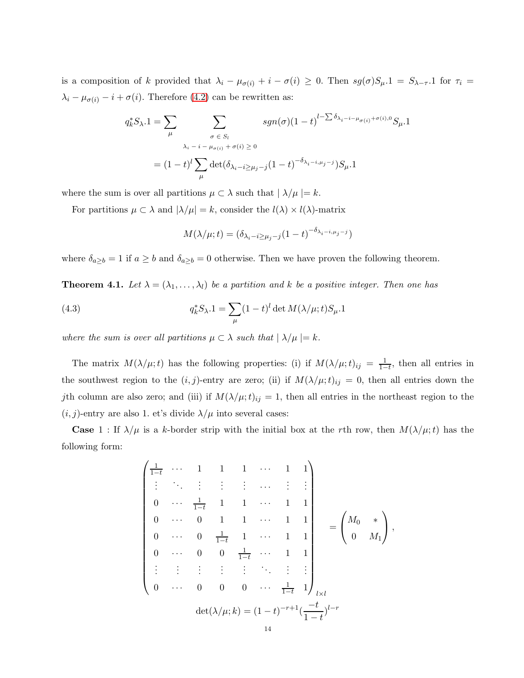is a composition of k provided that  $\lambda_i - \mu_{\sigma(i)} + i - \sigma(i) \geq 0$ . Then  $sg(\sigma)S_{\mu} \cdot 1 = S_{\lambda-\tau} \cdot 1$  for  $\tau_i =$  $\lambda_i - \mu_{\sigma(i)} - i + \sigma(i)$ . Therefore [\(4.2\)](#page-12-0) can be rewritten as:

$$
q_k^* S_{\lambda} . 1 = \sum_{\mu} \sum_{\substack{\sigma \in S_l \\ \lambda_i - i - \mu_{\sigma(i)} + \sigma(i) \ge 0}} sgn(\sigma) (1 - t)^{l - \sum \delta_{\lambda_i - i - \mu_{\sigma(i)} + \sigma(i), 0}} S_{\mu} . 1
$$

$$
= (1 - t)^l \sum_{\mu} \det(\delta_{\lambda_i - i \ge \mu_j - j} (1 - t)^{-\delta_{\lambda_i - i, \mu_j - j}} S_{\mu} . 1
$$

where the sum is over all partitions  $\mu \subset \lambda$  such that  $|\lambda/\mu| = k$ .

For partitions  $\mu \subset \lambda$  and  $|\lambda/\mu| = k$ , consider the  $l(\lambda) \times l(\lambda)$ -matrix

$$
M(\lambda/\mu;t) = (\delta_{\lambda_i - i \ge \mu_j - j} (1 - t)^{-\delta_{\lambda_i - i, \mu_j - j}})
$$

where  $\delta_{a\geq b} = 1$  if  $a \geq b$  and  $\delta_{a\geq b} = 0$  otherwise. Then we have proven the following theorem.

**Theorem 4.1.** Let  $\lambda = (\lambda_1, ..., \lambda_l)$  be a partition and k be a positive integer. Then one has

(4.3) 
$$
q_k^* S_{\lambda} . 1 = \sum_{\mu} (1 - t)^l \det M(\lambda/\mu; t) S_{\mu} . 1
$$

where the sum is over all partitions  $\mu \subset \lambda$  such that  $|\lambda/\mu| = k$ .

The matrix  $M(\lambda/\mu;t)$  has the following properties: (i) if  $M(\lambda/\mu;t)_{ij} = \frac{1}{1-t}$  $\frac{1}{1-t}$ , then all entries in the southwest region to the  $(i, j)$ -entry are zero; (ii) if  $M(\lambda/\mu; t)_{ij} = 0$ , then all entries down the jth column are also zero; and (iii) if  $M(\lambda/\mu;t)_{ij} = 1$ , then all entries in the northeast region to the  $(i, j)$ -entry are also 1. et's divide  $\lambda/\mu$  into several cases:

**Case** 1 : If  $\lambda/\mu$  is a k-border strip with the initial box at the rth row, then  $M(\lambda/\mu;t)$  has the following form:

$$
\begin{pmatrix}\n\frac{1}{1-t} & \cdots & 1 & 1 & 1 & \cdots & 1 & 1 \\
\vdots & \ddots & \vdots & \vdots & \vdots & \cdots & \vdots & \vdots \\
0 & \cdots & \frac{1}{1-t} & 1 & 1 & \cdots & 1 & 1 \\
0 & \cdots & 0 & 1 & 1 & \cdots & 1 & 1 \\
0 & \cdots & 0 & \frac{1}{1-t} & 1 & \cdots & 1 & 1 \\
\vdots & \vdots & \vdots & \vdots & \ddots & \vdots & \vdots \\
0 & \cdots & 0 & 0 & 0 & \cdots & \frac{1}{1-t} & 1\n\end{pmatrix}_{l \times l} = \begin{pmatrix}\nM_0 & * \\
0 & M_1\n\end{pmatrix},
$$
\n
$$
\det(\lambda/\mu; k) = (1-t)^{-r+1}(\frac{-t}{1-t})^{l-r}
$$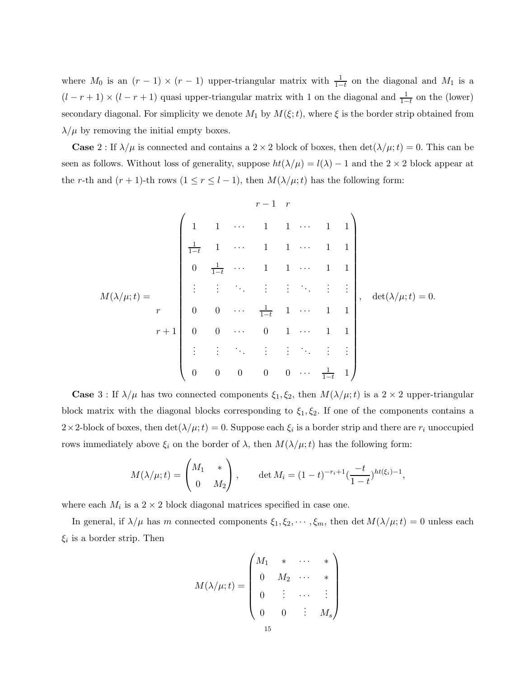where  $M_0$  is an  $(r-1) \times (r-1)$  upper-triangular matrix with  $\frac{1}{1-t}$  on the diagonal and  $M_1$  is a  $(l - r + 1) \times (l - r + 1)$  quasi upper-triangular matrix with 1 on the diagonal and  $\frac{1}{1-t}$  on the (lower) secondary diagonal. For simplicity we denote  $M_1$  by  $M(\xi;t)$ , where  $\xi$  is the border strip obtained from  $\lambda/\mu$  by removing the initial empty boxes.

**Case** 2 : If  $\lambda/\mu$  is connected and contains a 2 × 2 block of boxes, then  $\det(\lambda/\mu; t) = 0$ . This can be seen as follows. Without loss of generality, suppose  $ht(\lambda/\mu) = l(\lambda) - 1$  and the  $2 \times 2$  block appear at the r-th and  $(r + 1)$ -th rows  $(1 \le r \le l - 1)$ , then  $M(\lambda/\mu; t)$  has the following form:

$$
M(\lambda/\mu;t) = \begin{pmatrix} 1 & 1 & \cdots & 1 & 1 & \cdots & 1 & 1 \\ \frac{1}{1-t} & 1 & \cdots & 1 & 1 & \cdots & 1 & 1 \\ 0 & \frac{1}{1-t} & \cdots & 1 & 1 & \cdots & 1 & 1 \\ \vdots & \vdots & \ddots & \vdots & \vdots & \ddots & \vdots & \vdots \\ 0 & 0 & \cdots & \frac{1}{1-t} & 1 & \cdots & 1 & 1 \\ r+1 & 0 & 0 & \cdots & 0 & 1 & \cdots & 1 & 1 \\ \vdots & \vdots & \ddots & \vdots & \vdots & \ddots & \vdots & \vdots \\ 0 & 0 & 0 & 0 & 0 & \cdots & \frac{1}{1-t} & 1 \end{pmatrix}, \quad \det(\lambda/\mu;t) = 0.
$$

**Case** 3 : If  $\lambda/\mu$  has two connected components  $\xi_1, \xi_2$ , then  $M(\lambda/\mu; t)$  is a 2 × 2 upper-triangular block matrix with the diagonal blocks corresponding to  $\xi_1, \xi_2$ . If one of the components contains a  $2 \times 2$ -block of boxes, then  $\det(\lambda/\mu; t) = 0$ . Suppose each  $\xi_i$  is a border strip and there are  $r_i$  unoccupied rows immediately above  $\xi_i$  on the border of  $\lambda$ , then  $M(\lambda/\mu;t)$  has the following form:

$$
M(\lambda/\mu; t) = \begin{pmatrix} M_1 & * \\ 0 & M_2 \end{pmatrix}, \quad \det M_i = (1-t)^{-r_i+1} \left(\frac{-t}{1-t}\right)^{ht(\xi_i)-1},
$$

where each  $M_i$  is a  $2 \times 2$  block diagonal matrices specified in case one.

In general, if  $\lambda/\mu$  has m connected components  $\xi_1, \xi_2, \dots, \xi_m$ , then det  $M(\lambda/\mu; t) = 0$  unless each  $\xi_i$  is a border strip. Then

$$
M(\lambda/\mu;t) = \begin{pmatrix} M_1 & * & \cdots & * \\ 0 & M_2 & \cdots & * \\ 0 & \vdots & \cdots & \vdots \\ 0 & 0 & \vdots & M_s \end{pmatrix}
$$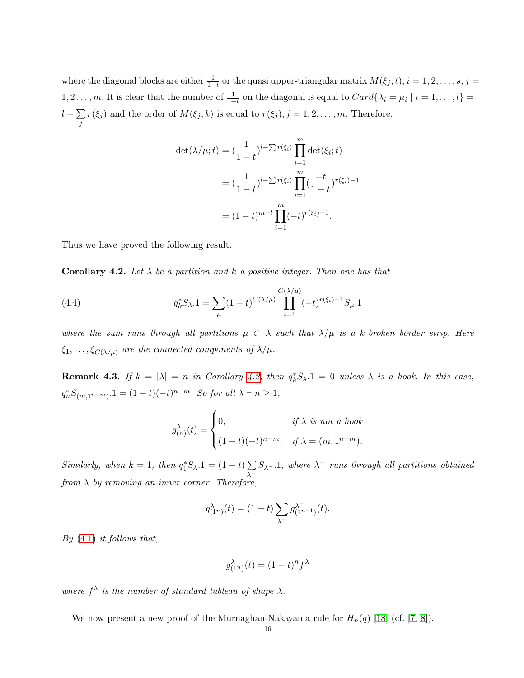where the diagonal blocks are either  $\frac{1}{1-t}$  or the quasi upper-triangular matrix  $M(\xi_j;t)$ ,  $i=1,2,\ldots,s;j=1$ 1, 2 . . . , m. It is clear that the number of  $\frac{1}{1-t}$  on the diagonal is equal to  $Card\{\lambda_i = \mu_i \mid i = 1, ..., l\}$  $l-\sum$ j  $r(\xi_j)$  and the order of  $M(\xi_j; k)$  is equal to  $r(\xi_j), j = 1, 2, \ldots, m$ . Therefore,

$$
\begin{aligned} \det(\lambda/\mu; t) &= \left(\frac{1}{1-t}\right)^{l-\sum r(\xi_i)} \prod_{i=1}^m \det(\xi_i; t) \\ &= \left(\frac{1}{1-t}\right)^{l-\sum r(\xi_i)} \prod_{i=1}^m \left(\frac{-t}{1-t}\right)^{r(\xi_i)-1} \\ &= (1-t)^{m-l} \prod_{i=1}^m (-t)^{r(\xi_i)-1} .\end{aligned}
$$

Thus we have proved the following result.

<span id="page-15-0"></span>**Corollary 4.2.** Let  $\lambda$  be a partition and k a positive integer. Then one has that

(4.4) 
$$
q_k^* S_{\lambda} \cdot 1 = \sum_{\mu} (1-t)^{C(\lambda/\mu)} \prod_{i=1}^{C(\lambda/\mu)} (-t)^{r(\xi_i)-1} S_{\mu} \cdot 1
$$

where the sum runs through all partitions  $\mu \subset \lambda$  such that  $\lambda/\mu$  is a k-broken border strip. Here  $\xi_1, \ldots, \xi_{C(\lambda/\mu)}$  are the connected components of  $\lambda/\mu$ .

**Remark 4.3.** If  $k = |\lambda| = n$  in Corollary [4.2,](#page-15-0) then  $q_k^* S_{\lambda} \cdot 1 = 0$  unless  $\lambda$  is a hook. In this case,  $q_n^* S_{(m,1^{n-m})}$ .  $1 = (1-t)(-t)^{n-m}$ . So for all  $\lambda \vdash n \ge 1$ ,

$$
g_{(n)}^{\lambda}(t) = \begin{cases} 0, & \text{if } \lambda \text{ is not a hook} \\ (1-t)(-t)^{n-m}, & \text{if } \lambda = (m, 1^{n-m}). \end{cases}
$$

Similarly, when  $k = 1$ , then  $q_1^* S_\lambda.1 = (1 - t) \sum_{k=1}^{n}$ λ<sup>−</sup>  $S_{\lambda^{-}}$ .1, where  $\lambda^{-}$  runs through all partitions obtained from  $\lambda$  by removing an inner corner. Therefore,

$$
g_{(1^n)}^{\lambda}(t) = (1-t) \sum_{\lambda^-} g_{(1^{n-1})}^{\lambda^-}(t).
$$

By  $(4.1)$  it follows that,

$$
g_{(1^n)}^{\lambda}(t) = (1-t)^n f^{\lambda}
$$

where  $f^{\lambda}$  is the number of standard tableau of shape  $\lambda$ .

We now present a new proof of the Murnaghan-Nakayama rule for  $H_n(q)$  [\[18\]](#page-19-1) (cf. [\[7,](#page-19-22) [8\]](#page-19-5)).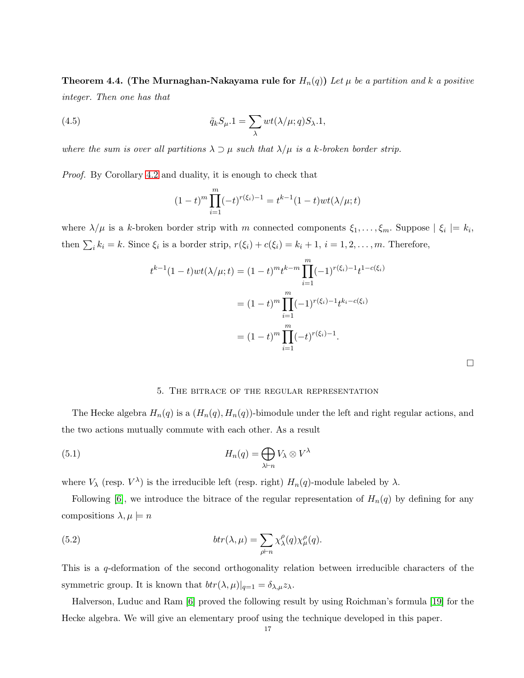**Theorem 4.4. (The Murnaghan-Nakayama rule for**  $H_n(q)$ ) Let  $\mu$  be a partition and k a positive integer. Then one has that

(4.5) 
$$
\tilde{q}_k S_{\mu}.1 = \sum_{\lambda} wt(\lambda/\mu; q) S_{\lambda}.1,
$$

where the sum is over all partitions  $\lambda \supset \mu$  such that  $\lambda/\mu$  is a k-broken border strip.

Proof. By Corollary [4.2](#page-15-0) and duality, it is enough to check that

$$
(1-t)^m \prod_{i=1}^m (-t)^{r(\xi_i)-1} = t^{k-1} (1-t)wt(\lambda/\mu;t)
$$

where  $\lambda/\mu$  is a k-broken border strip with m connected components  $\xi_1,\ldots,\xi_m$ . Suppose  $| \xi_i | = k_i$ , then  $\sum_i k_i = k$ . Since  $\xi_i$  is a border strip,  $r(\xi_i) + c(\xi_i) = k_i + 1$ ,  $i = 1, 2, ..., m$ . Therefore,

$$
t^{k-1}(1-t)wt(\lambda/\mu;t) = (1-t)^m t^{k-m} \prod_{i=1}^m (-1)^{r(\xi_i)-1} t^{1-c(\xi_i)}
$$
  
=  $(1-t)^m \prod_{i=1}^m (-1)^{r(\xi_i)-1} t^{k_i-c(\xi_i)}$   
=  $(1-t)^m \prod_{i=1}^m (-t)^{r(\xi_i)-1}.$ 

 $\Box$ 

#### 5. The bitrace of the regular representation

The Hecke algebra  $H_n(q)$  is a  $(H_n(q), H_n(q))$ -bimodule under the left and right regular actions, and the two actions mutually commute with each other. As a result

(5.1) 
$$
H_n(q) = \bigoplus_{\lambda \vdash n} V_{\lambda} \otimes V^{\lambda}
$$

where  $V_{\lambda}$  (resp.  $V^{\lambda}$ ) is the irreducible left (resp. right)  $H_n(q)$ -module labeled by  $\lambda$ .

Following [\[6\]](#page-19-14), we introduce the bitrace of the regular representation of  $H_n(q)$  by defining for any compositions  $\lambda, \mu \models n$ 

(5.2) 
$$
btr(\lambda, \mu) = \sum_{\rho \vdash n} \chi_{\lambda}^{\rho}(q) \chi_{\mu}^{\rho}(q).
$$

This is a q-deformation of the second orthogonality relation between irreducible characters of the symmetric group. It is known that  $btr(\lambda, \mu)|_{q=1} = \delta_{\lambda, \mu} z_{\lambda}$ .

Halverson, Luduc and Ram [\[6\]](#page-19-14) proved the following result by using Roichman's formula [\[19\]](#page-19-8) for the Hecke algebra. We will give an elementary proof using the technique developed in this paper.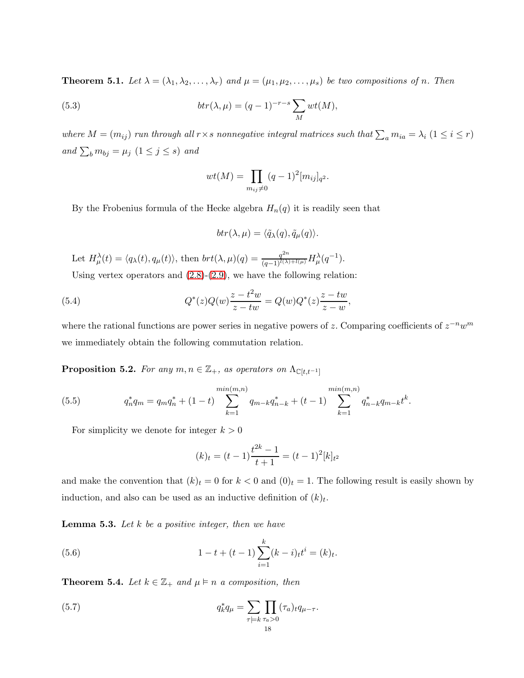<span id="page-17-2"></span>**Theorem 5.1.** Let  $\lambda = (\lambda_1, \lambda_2, \dots, \lambda_r)$  and  $\mu = (\mu_1, \mu_2, \dots, \mu_s)$  be two compositions of n. Then

(5.3) 
$$
btr(\lambda, \mu) = (q-1)^{-r-s} \sum_{M} wt(M),
$$

where  $M = (m_{ij})$  run through all  $r \times s$  nonnegative integral matrices such that  $\sum_a m_{ia} = \lambda_i$   $(1 \le i \le r)$ and  $\sum_b m_{bj} = \mu_j \ (1 \leq j \leq s)$  and

$$
wt(M) = \prod_{m_{ij} \neq 0} (q-1)^2 [m_{ij}]_{q^2}.
$$

By the Frobenius formula of the Hecke algebra  $H_n(q)$  it is readily seen that

$$
btr(\lambda,\mu)=\langle \tilde{q}_{\lambda}(q),\tilde{q}_{\mu}(q)\rangle.
$$

Let  $H^{\lambda}_{\mu}(t) = \langle q_{\lambda}(t), q_{\mu}(t) \rangle$ , then  $brt(\lambda, \mu)(q) = \frac{q^{2n}}{(q-1)^{l(\lambda)+l(\mu)}} H^{\lambda}_{\mu}(q^{-1}).$ 

Using vertex operators and  $(2.8)-(2.9)$  $(2.8)-(2.9)$ , we have the following relation:

(5.4) 
$$
Q^*(z)Q(w)\frac{z-t^2w}{z-tw} = Q(w)Q^*(z)\frac{z-tw}{z-w},
$$

where the rational functions are power series in negative powers of z. Comparing coefficients of  $z^{-n}w^m$ we immediately obtain the following commutation relation.

**Proposition 5.2.** For any  $m, n \in \mathbb{Z}_+$ , as operators on  $\Lambda_{\mathbb{C}[t,t^{-1}]}$ 

(5.5) 
$$
q_n^* q_m = q_m q_n^* + (1-t) \sum_{k=1}^{\min(m,n)} q_{m-k} q_{n-k}^* + (t-1) \sum_{k=1}^{\min(m,n)} q_{n-k}^* q_{m-k}^* t^k.
$$

For simplicity we denote for integer  $k > 0$ 

$$
(k)_t = (t-1)\frac{t^{2k} - 1}{t+1} = (t-1)^2 [k]_{t^2}
$$

and make the convention that  $(k)_t = 0$  for  $k < 0$  and  $(0)_t = 1$ . The following result is easily shown by induction, and also can be used as an inductive definition of  $(k)_t$ .

<span id="page-17-0"></span>**Lemma 5.3.** Let  $k$  be a positive integer, then we have

(5.6) 
$$
1 - t + (t - 1) \sum_{i=1}^{k} (k - i) t^{i} = (k)t.
$$

<span id="page-17-1"></span>**Theorem 5.4.** Let  $k \in \mathbb{Z}_+$  and  $\mu \models n$  a composition, then

(5.7) 
$$
q_k^* q_\mu = \sum_{\tau \models k} \prod_{\tau_a > 0} (\tau_a)_t q_{\mu - \tau}.
$$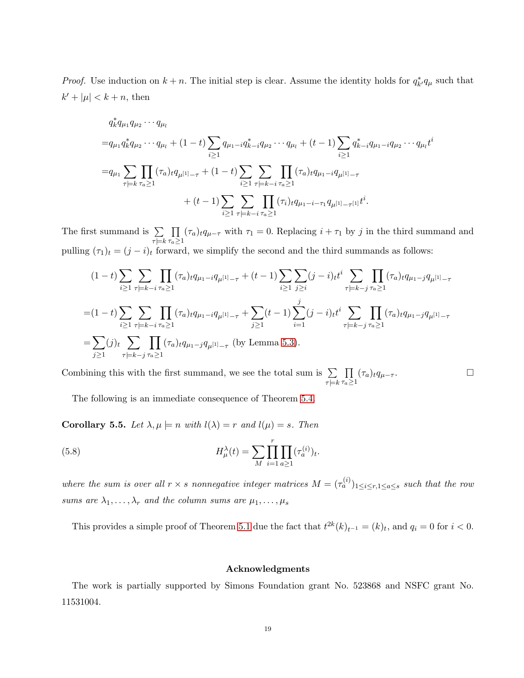*Proof.* Use induction on  $k + n$ . The initial step is clear. Assume the identity holds for  $q_{k'}^* q_{\mu}$  such that  $k' + |\mu| < k + n$ , then

$$
q_k^* q_{\mu_1} q_{\mu_2} \cdots q_{\mu_l}
$$
  
\n
$$
= q_{\mu_1} q_k^* q_{\mu_2} \cdots q_{\mu_l} + (1-t) \sum_{i \ge 1} q_{\mu_1 - i} q_{k-i}^* q_{\mu_2} \cdots q_{\mu_l} + (t-1) \sum_{i \ge 1} q_{k-i}^* q_{\mu_1 - i} q_{\mu_2} \cdots q_{\mu_l} t^i
$$
  
\n
$$
= q_{\mu_1} \sum_{\tau \vdash k} \prod_{\tau_a \ge 1} (\tau_a)_t q_{\mu_1} q_{\mu_1 - \tau} + (1-t) \sum_{i \ge 1} \sum_{\tau \vdash k-i} \prod_{\tau_a \ge 1} (\tau_a)_t q_{\mu_1 - i} q_{\mu_1} q_{\mu_1 - \tau}
$$
  
\n
$$
+ (t-1) \sum_{i \ge 1} \sum_{\tau \vdash k-i} \prod_{\tau_a \ge 1} (\tau_i)_t q_{\mu_1 - i - \tau_1} q_{\mu_1} q_{\mu_1 - \tau_1} t^i.
$$

The first summand is  $\Sigma$  $\tau\models k$  $\prod$  $\tau_a \geq 1$  $(\tau_a)_{t}q_{\mu-\tau}$  with  $\tau_1 = 0$ . Replacing  $i + \tau_1$  by j in the third summand and pulling  $(\tau_1)_t = (j - i)_t$  forward, we simplify the second and the third summands as follows:

$$
(1-t)\sum_{i\geq 1} \sum_{\tau\models k-i} \prod_{\tau_a\geq 1} (\tau_a)_t q_{\mu_1-i} q_{\mu_1-1} + (t-1)\sum_{i\geq 1} \sum_{j\geq i} (j-i)_t t^i \sum_{\tau\models k-j} \prod_{\tau_a\geq 1} (\tau_a)_t q_{\mu_1-j} q_{\mu_1-1} + (t-1)\sum_{i\geq 1} \sum_{j\geq i} (j-i)_t t^i \sum_{\tau\models k-j} \prod_{\tau_a\geq 1} (\tau_a)_t q_{\mu_1-j} q_{\mu_1-1} + \sum_{j\geq 1} (t-1)\sum_{i=1}^j (j-i)_t t^i \sum_{\tau\models k-j} \prod_{\tau_a\geq 1} (\tau_a)_t q_{\mu_1-j} q_{\mu_1-1} + \sum_{j\geq 1} \sum_{i=1}^j (j-i)_t t^i \sum_{\tau\models k-j} \prod_{\tau_a\geq 1} (\tau_a)_t q_{\mu_1-j} q_{\mu_1-1-j} + (t-1)\sum_{i\geq 1} \sum_{j\geq i} \sum_{j\geq 1} (\tau_a)_t q_{\mu_1-j} q_{\mu_1-1-j} + \sum_{j\geq 1} \sum_{j\geq 1} \sum_{j\geq 1} \sum_{\tau_i\geq 1} (\tau_a)_t q_{\mu_1-j} q_{\mu_1-1-j} + (t-1)\sum_{i\geq 1} \sum_{j\geq i} \sum_{j\geq 1} \sum_{j\geq 1} (\tau_a)_t q_{\mu_1-j} q_{\mu_1-1-j} + (t-1)\sum_{i\geq 1} \sum_{j\geq 1} \sum_{j\geq 1} \sum_{j\geq 1} (\tau_a)_t q_{\mu_1-j} q_{\mu_1-1-j} + (t-1)\sum_{i\geq 1} \sum_{j\geq 1} \sum_{j\geq 1} \sum_{j\geq 1} (\tau_a)_t q_{\mu_1-j} q_{\mu_1-1-j} + (t-1)\sum_{i\geq 1} \sum_{j\geq 1} \sum_{j\geq 1} \sum_{j\geq 1} \sum_{j\geq 1} \sum_{j\geq 1} \sum_{j\geq 1} \sum_{j\ge
$$

Combining this with the first summand, we see the total sum is  $\Sigma$  $\tau$  $\models$ k  $\prod$  $\tau_a \geq 1$  $(\tau_a)_t q_{\mu-\tau}$ .  $\Box$ 

The following is an immediate consequence of Theorem [5.4.](#page-17-1)

Corollary 5.5. Let  $\lambda, \mu \models n$  with  $l(\lambda) = r$  and  $l(\mu) = s$ . Then

(5.8) 
$$
H_{\mu}^{\lambda}(t) = \sum_{M} \prod_{i=1}^{r} \prod_{a \ge 1} (\tau_a^{(i)})_t.
$$

where the sum is over all  $r \times s$  nonnegative integer matrices  $M = (\tau_a^{(i)})_{1 \le i \le r, 1 \le a \le s}$  such that the row sums are  $\lambda_1, \ldots, \lambda_r$  and the column sums are  $\mu_1, \ldots, \mu_s$ 

This provides a simple proof of Theorem [5.1](#page-17-2) due the fact that  $t^{2k}(k)_{t^{-1}} = (k)_t$ , and  $q_i = 0$  for  $i < 0$ .

#### Acknowledgments

The work is partially supported by Simons Foundation grant No. 523868 and NSFC grant No. 11531004.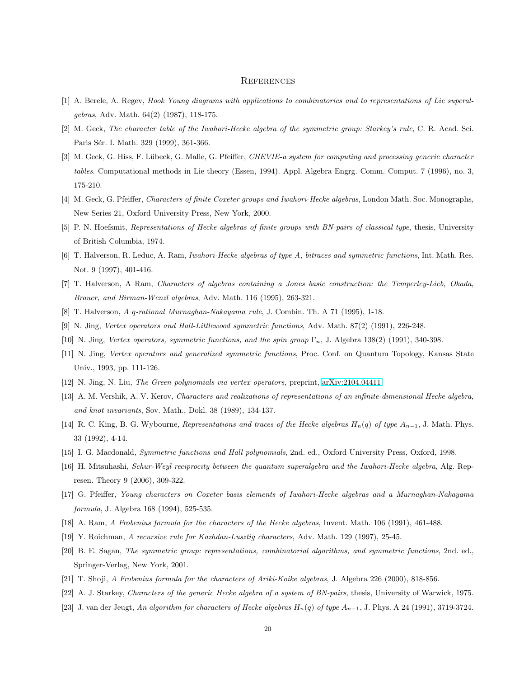#### **REFERENCES**

- <span id="page-19-20"></span><span id="page-19-7"></span>[1] A. Berele, A. Regev, *Hook Young diagrams with applications to combinatorics and to representations of Lie superalgebras*, Adv. Math. 64(2) (1987), 118-175.
- <span id="page-19-10"></span>[2] M. Geck, *The character table of the Iwahori-Hecke algebra of the symmetric group: Starkey's rule*, C. R. Acad. Sci. Paris Sér. I. Math. 329 (1999), 361-366.
- [3] M. Geck, G. Hiss, F. Lübeck, G. Malle, G. Pfeiffer, *CHEVIE-a system for computing and processing generic character tables*. Computational methods in Lie theory (Essen, 1994). Appl. Algebra Engrg. Comm. Comput. 7 (1996), no. 3, 175-210.
- <span id="page-19-16"></span><span id="page-19-0"></span>[4] M. Geck, G. Pfeiffer, *Characters of finite Coxeter groups and Iwahori-Hecke algebras*, London Math. Soc. Monographs, New Series 21, Oxford University Press, New York, 2000.
- <span id="page-19-14"></span>[5] P. N. Hoefsmit, *Representations of Hecke algebras of finite groups with BN-pairs of classical type*, thesis, University of British Columbia, 1974.
- <span id="page-19-22"></span>[6] T. Halverson, R. Leduc, A. Ram, *Iwahori-Hecke algebras of type A, bitraces and symmetric functions*, Int. Math. Res. Not. 9 (1997), 401-416.
- <span id="page-19-5"></span>[7] T. Halverson, A Ram, *Characters of algebras containing a Jones basic construction: the Temperley-Lieb, Okada, Brauer, and Birman-Wenzl algebras*, Adv. Math. 116 (1995), 263-321.
- <span id="page-19-12"></span>[8] T. Halverson, *A* q*-rational Murnaghan-Nakayama rule*, J. Combin. Th. A 71 (1995), 1-18.
- <span id="page-19-13"></span>[9] N. Jing, *Vertex operators and Hall-Littlewood symmetric functions*, Adv. Math. 87(2) (1991), 226-248.
- <span id="page-19-15"></span>[10] N. Jing, *Vertex operators, symmetric functions, and the spin group* Γn, J. Algebra 138(2) (1991), 340-398.
- <span id="page-19-17"></span>[11] N. Jing, *Vertex operators and generalized symmetric functions*, Proc. Conf. on Quantum Topology, Kansas State Univ., 1993, pp. 111-126.
- <span id="page-19-3"></span>[12] N. Jing, N. Liu, *The Green polynomials via vertex operators*, preprint, [arXiv:2104.04411.](http://arxiv.org/abs/2104.04411)
- <span id="page-19-2"></span>[13] A. M. Vershik, A. V. Kerov, *Characters and realizations of representations of an infinite-dimensional Hecke algebra, and knot invariants*, Sov. Math., Dokl. 38 (1989), 134-137.
- <span id="page-19-21"></span>[14] R. C. King, B. G. Wybourne, *Representations and traces of the Hecke algebras* Hn(q) *of type* A<sup>n</sup>−1, J. Math. Phys. 33 (1992), 4-14.
- <span id="page-19-18"></span>[15] I. G. Macdonald, *Symmetric functions and Hall polynomials*, 2nd. ed., Oxford University Press, Oxford, 1998.
- <span id="page-19-6"></span>[16] H. Mitsuhashi, *Schur-Weyl reciprocity between the quantum superalgebra and the Iwahori-Hecke algebra*, Alg. Represen. Theory 9 (2006), 309-322.
- <span id="page-19-1"></span>[17] G. Pfeiffer, *Young characters on Coxeter basis elements of Iwahori-Hecke algebras and a Murnaghan-Nakayama formula*, J. Algebra 168 (1994), 525-535.
- <span id="page-19-8"></span>[18] A. Ram, *A Frobenius formula for the characters of the Hecke algebras*, Invent. Math. 106 (1991), 461-488.
- <span id="page-19-19"></span>[19] Y. Roichman, *A recursive rule for Kazhdan-Lusztig characters*, Adv. Math. 129 (1997), 25-45.
- <span id="page-19-9"></span>[20] B. E. Sagan, *The symmetric group: representations, combinatorial algorithms, and symmetric functions*, 2nd. ed., Springer-Verlag, New York, 2001.
- <span id="page-19-11"></span>[21] T. Shoji, *A Frobenius formula for the characters of Ariki-Koike algebras*, J. Algebra 226 (2000), 818-856.
- <span id="page-19-4"></span>[22] A. J. Starkey, *Characters of the generic Hecke algebra of a system of BN-pairs*, thesis, University of Warwick, 1975.
- [23] J. van der Jeugt, *An algorithm for characters of Hecke algebras* Hn(q) *of type* A<sup>n</sup>−1, J. Phys. A 24 (1991), 3719-3724.